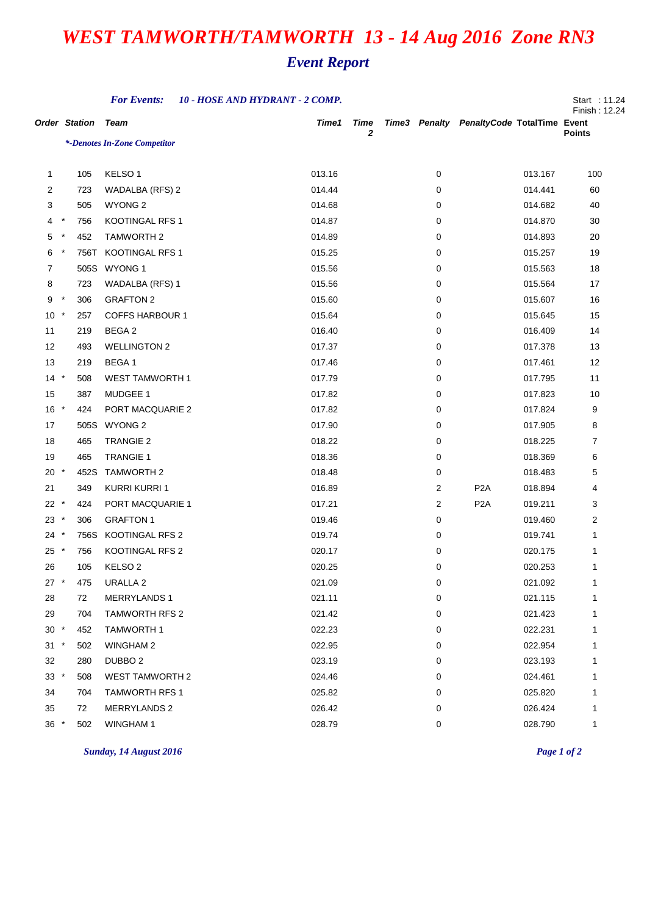## *WEST TAMWORTH/TAMWORTH 13 - 14 Aug 2016 Zone RN3*

## *Event Report*

|                      |         |      | <b>For Events:</b>           | 10 - HOSE AND HYDRANT - 2 COMP. |                  |                |                                           |         | Start : 11.24<br>Finish: 12.24 |
|----------------------|---------|------|------------------------------|---------------------------------|------------------|----------------|-------------------------------------------|---------|--------------------------------|
| <b>Order Station</b> |         |      | Team                         | Time1                           | <b>Time</b><br>2 |                | Time3 Penalty PenaltyCode TotalTime Event |         | <b>Points</b>                  |
|                      |         |      | *-Denotes In-Zone Competitor |                                 |                  |                |                                           |         |                                |
|                      |         |      |                              |                                 |                  |                |                                           |         |                                |
| $\mathbf{1}$         |         | 105  | KELSO <sub>1</sub>           | 013.16                          |                  | 0              |                                           | 013.167 | 100                            |
| $\overline{2}$       |         | 723  | WADALBA (RFS) 2              | 014.44                          |                  | 0              |                                           | 014.441 | 60                             |
| 3                    |         | 505  | <b>WYONG 2</b>               | 014.68                          |                  | 0              |                                           | 014.682 | 40                             |
| 4                    | $\ast$  | 756  | KOOTINGAL RFS 1              | 014.87                          |                  | 0              |                                           | 014.870 | 30                             |
| 5                    | $\ast$  | 452  | <b>TAMWORTH 2</b>            | 014.89                          |                  | 0              |                                           | 014.893 | 20                             |
| 6                    | $\ast$  | 756T | <b>KOOTINGAL RFS 1</b>       | 015.25                          |                  | 0              |                                           | 015.257 | 19                             |
| $\overline{7}$       |         | 505S | WYONG 1                      | 015.56                          |                  | 0              |                                           | 015.563 | 18                             |
| 8                    |         | 723  | WADALBA (RFS) 1              | 015.56                          |                  | 0              |                                           | 015.564 | 17                             |
| 9                    | $\ast$  | 306  | <b>GRAFTON 2</b>             | 015.60                          |                  | 0              |                                           | 015.607 | 16                             |
| 10                   | $\ast$  | 257  | <b>COFFS HARBOUR 1</b>       | 015.64                          |                  | 0              |                                           | 015.645 | 15                             |
| 11                   |         | 219  | BEGA 2                       | 016.40                          |                  | 0              |                                           | 016.409 | 14                             |
| 12                   |         | 493  | <b>WELLINGTON 2</b>          | 017.37                          |                  | 0              |                                           | 017.378 | 13                             |
| 13                   |         | 219  | BEGA 1                       | 017.46                          |                  | 0              |                                           | 017.461 | 12                             |
| $14 *$               |         | 508  | <b>WEST TAMWORTH 1</b>       | 017.79                          |                  | 0              |                                           | 017.795 | 11                             |
| 15                   |         | 387  | MUDGEE 1                     | 017.82                          |                  | 0              |                                           | 017.823 | 10                             |
| 16                   | $\star$ | 424  | PORT MACQUARIE 2             | 017.82                          |                  | 0              |                                           | 017.824 | 9                              |
| 17                   |         |      | 505S WYONG 2                 | 017.90                          |                  | 0              |                                           | 017.905 | 8                              |
| 18                   |         | 465  | <b>TRANGIE 2</b>             | 018.22                          |                  | 0              |                                           | 018.225 | 7                              |
| 19                   |         | 465  | <b>TRANGIE 1</b>             | 018.36                          |                  | 0              |                                           | 018.369 | 6                              |
| $20 *$               |         | 452S | <b>TAMWORTH 2</b>            | 018.48                          |                  | 0              |                                           | 018.483 | 5                              |
| 21                   |         | 349  | <b>KURRI KURRI 1</b>         | 016.89                          |                  | $\overline{c}$ | P <sub>2</sub> A                          | 018.894 | 4                              |
| $22 *$               |         | 424  | PORT MACQUARIE 1             | 017.21                          |                  | 2              | P <sub>2</sub> A                          | 019.211 | 3                              |
| 23                   | $\star$ | 306  | <b>GRAFTON 1</b>             | 019.46                          |                  | 0              |                                           | 019.460 | 2                              |
| 24                   | $\ast$  | 756S | KOOTINGAL RFS 2              | 019.74                          |                  | 0              |                                           | 019.741 | 1                              |
| $25 *$               |         | 756  | KOOTINGAL RFS 2              | 020.17                          |                  | 0              |                                           | 020.175 | 1                              |
| 26                   |         | 105  | KELSO <sub>2</sub>           | 020.25                          |                  | 0              |                                           | 020.253 | 1                              |
| $27 *$               |         | 475  | <b>URALLA 2</b>              | 021.09                          |                  | 0              |                                           | 021.092 |                                |
| 28                   | 72      |      | <b>MERRYLANDS1</b>           | 021.11                          |                  | 0              |                                           | 021.115 | 1                              |
| 29                   |         | 704  | <b>TAMWORTH RFS 2</b>        | 021.42                          |                  | 0              |                                           | 021.423 | 1                              |
| $30 *$               |         | 452  | <b>TAMWORTH1</b>             | 022.23                          |                  | 0              |                                           | 022.231 |                                |
| $31 *$               |         | 502  | <b>WINGHAM 2</b>             | 022.95                          |                  | 0              |                                           | 022.954 |                                |
| 32                   |         | 280  | DUBBO <sub>2</sub>           | 023.19                          |                  | 0              |                                           | 023.193 | 1                              |
| $33 *$               |         | 508  | <b>WEST TAMWORTH 2</b>       | 024.46                          |                  | 0              |                                           | 024.461 | 1                              |
| 34                   |         | 704  | <b>TAMWORTH RFS 1</b>        | 025.82                          |                  | 0              |                                           | 025.820 |                                |
| 35                   | 72      |      | <b>MERRYLANDS 2</b>          | 026.42                          |                  | 0              |                                           | 026.424 | 1                              |
| $36 *$               |         | 502  | <b>WINGHAM1</b>              | 028.79                          |                  | 0              |                                           | 028.790 | 1                              |

*Sunday, 14 August 2016 Page 1 of 2*